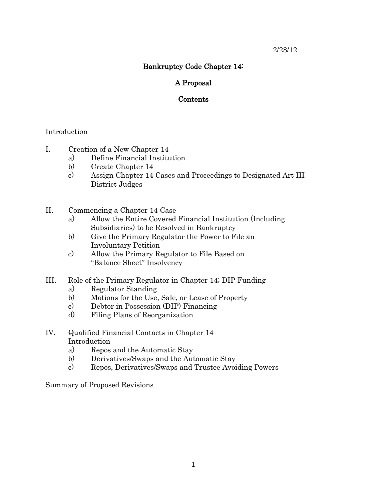# 2/28/12

# Bankruptcy Code Chapter 14:

# A Proposal

# Contents

# Introduction

- I. Creation of a New Chapter 14
	- a) Define Financial Institution
	- b) Create Chapter 14
	- c) Assign Chapter 14 Cases and Proceedings to Designated Art III District Judges
- II. Commencing a Chapter 14 Case
	- a) Allow the Entire Covered Financial Institution (Including Subsidiaries) to be Resolved in Bankruptcy
	- b) Give the Primary Regulator the Power to File an Involuntary Petition
	- c) Allow the Primary Regulator to File Based on "Balance Sheet" Insolvency
- III. Role of the Primary Regulator in Chapter 14; DIP Funding
	- a) Regulator Standing
	- b) Motions for the Use, Sale, or Lease of Property
	- c) Debtor in Possession (DIP) Financing
	- d) Filing Plans of Reorganization
- IV. Qualified Financial Contacts in Chapter 14 Introduction
	- a) Repos and the Automatic Stay
	- b) Derivatives/Swaps and the Automatic Stay
	- c) Repos, Derivatives/Swaps and Trustee Avoiding Powers

Summary of Proposed Revisions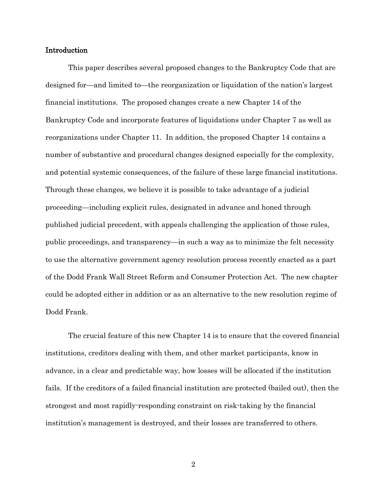### Introduction

This paper describes several proposed changes to the Bankruptcy Code that are designed for—and limited to—the reorganization or liquidation of the nation's largest financial institutions. The proposed changes create a new Chapter 14 of the Bankruptcy Code and incorporate features of liquidations under Chapter 7 as well as reorganizations under Chapter 11. In addition, the proposed Chapter 14 contains a number of substantive and procedural changes designed especially for the complexity, and potential systemic consequences, of the failure of these large financial institutions. Through these changes, we believe it is possible to take advantage of a judicial proceeding—including explicit rules, designated in advance and honed through published judicial precedent, with appeals challenging the application of those rules, public proceedings, and transparency—in such a way as to minimize the felt necessity to use the alternative government agency resolution process recently enacted as a part of the Dodd Frank Wall Street Reform and Consumer Protection Act. The new chapter could be adopted either in addition or as an alternative to the new resolution regime of Dodd Frank.

The crucial feature of this new Chapter 14 is to ensure that the covered financial institutions, creditors dealing with them, and other market participants, know in advance, in a clear and predictable way, how losses will be allocated if the institution fails. If the creditors of a failed financial institution are protected (bailed out), then the strongest and most rapidly-responding constraint on risk-taking by the financial institution's management is destroyed, and their losses are transferred to others.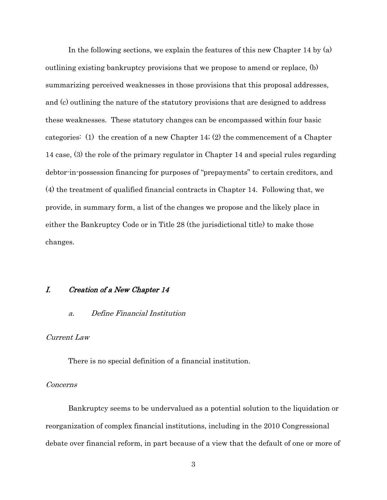In the following sections, we explain the features of this new Chapter 14 by (a) outlining existing bankruptcy provisions that we propose to amend or replace, (b) summarizing perceived weaknesses in those provisions that this proposal addresses, and (c) outlining the nature of the statutory provisions that are designed to address these weaknesses. These statutory changes can be encompassed within four basic categories: (1) the creation of a new Chapter 14; (2) the commencement of a Chapter 14 case, (3) the role of the primary regulator in Chapter 14 and special rules regarding debtor-in-possession financing for purposes of "prepayments" to certain creditors, and (4) the treatment of qualified financial contracts in Chapter 14. Following that, we provide, in summary form, a list of the changes we propose and the likely place in either the Bankruptcy Code or in Title 28 (the jurisdictional title) to make those changes.

# I. Creation of a New Chapter 14

### a. Define Financial Institution

# Current Law

There is no special definition of a financial institution.

### Concerns

Bankruptcy seems to be undervalued as a potential solution to the liquidation or reorganization of complex financial institutions, including in the 2010 Congressional debate over financial reform, in part because of a view that the default of one or more of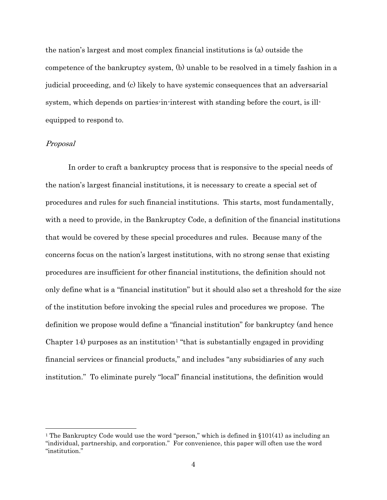the nation's largest and most complex financial institutions is (a) outside the competence of the bankruptcy system, (b) unable to be resolved in a timely fashion in a judicial proceeding, and (c) likely to have systemic consequences that an adversarial system, which depends on parties-in-interest with standing before the court, is illequipped to respond to.

### Proposal

In order to craft a bankruptcy process that is responsive to the special needs of the nation's largest financial institutions, it is necessary to create a special set of procedures and rules for such financial institutions. This starts, most fundamentally, with a need to provide, in the Bankruptcy Code, a definition of the financial institutions that would be covered by these special procedures and rules. Because many of the concerns focus on the nation's largest institutions, with no strong sense that existing procedures are insufficient for other financial institutions, the definition should not only define what is a "financial institution" but it should also set a threshold for the size of the institution before invoking the special rules and procedures we propose. The definition we propose would define a "financial institution" for bankruptcy (and hence Chapter  $14$  $14$ ) purposes as an institution<sup>1</sup> "that is substantially engaged in providing financial services or financial products," and includes "any subsidiaries of any such institution." To eliminate purely "local" financial institutions, the definition would

<span id="page-3-0"></span><sup>&</sup>lt;sup>1</sup> The Bankruptcy Code would use the word "person," which is defined in  $\S 101(41)$  as including an "individual, partnership, and corporation." For convenience, this paper will often use the word "institution."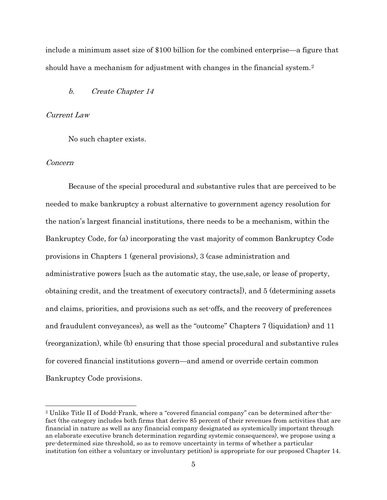include a minimum asset size of \$100 billion for the combined enterprise—a figure that should have a mechanism for adjustment with changes in the financial system.<sup>[2](#page-4-0)</sup>

### b. Create Chapter 14

### Current Law

No such chapter exists.

### Concern

Because of the special procedural and substantive rules that are perceived to be needed to make bankruptcy a robust alternative to government agency resolution for the nation's largest financial institutions, there needs to be a mechanism, within the Bankruptcy Code, for (a) incorporating the vast majority of common Bankruptcy Code provisions in Chapters 1 (general provisions), 3 (case administration and administrative powers [such as the automatic stay, the use,sale, or lease of property, obtaining credit, and the treatment of executory contracts]), and 5 (determining assets and claims, priorities, and provisions such as set-offs, and the recovery of preferences and fraudulent conveyances), as well as the "outcome" Chapters 7 (liquidation) and 11 (reorganization), while (b) ensuring that those special procedural and substantive rules for covered financial institutions govern—and amend or override certain common Bankruptcy Code provisions.

<span id="page-4-0"></span> <sup>2</sup> Unlike Title II of Dodd-Frank, where a "covered financial company" can be determined after-thefact (the category includes both firms that derive 85 percent of their revenues from activities that are financial in nature as well as any financial company designated as systemically important through an elaborate executive branch determination regarding systemic consequences), we propose using a pre-determined size threshold, so as to remove uncertainty in terms of whether a particular institution (on either a voluntary or involuntary petition) is appropriate for our proposed Chapter 14.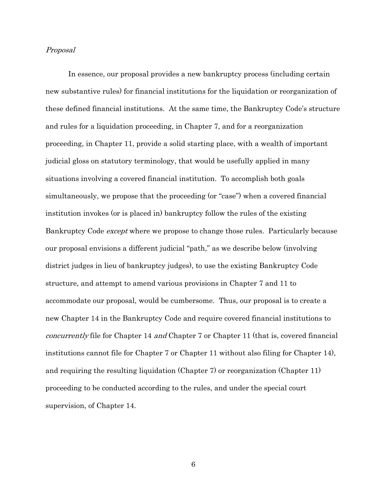#### Proposal

In essence, our proposal provides a new bankruptcy process (including certain new substantive rules) for financial institutions for the liquidation or reorganization of these defined financial institutions. At the same time, the Bankruptcy Code's structure and rules for a liquidation proceeding, in Chapter 7, and for a reorganization proceeding, in Chapter 11, provide a solid starting place, with a wealth of important judicial gloss on statutory terminology, that would be usefully applied in many situations involving a covered financial institution. To accomplish both goals simultaneously, we propose that the proceeding (or "case") when a covered financial institution invokes (or is placed in) bankruptcy follow the rules of the existing Bankruptcy Code *except* where we propose to change those rules. Particularly because our proposal envisions a different judicial "path," as we describe below (involving district judges in lieu of bankruptcy judges), to use the existing Bankruptcy Code structure, and attempt to amend various provisions in Chapter 7 and 11 to accommodate our proposal, would be cumbersome. Thus, our proposal is to create a new Chapter 14 in the Bankruptcy Code and require covered financial institutions to concurrently file for Chapter 14 and Chapter 7 or Chapter 11 (that is, covered financial institutions cannot file for Chapter 7 or Chapter 11 without also filing for Chapter 14), and requiring the resulting liquidation (Chapter 7) or reorganization (Chapter 11) proceeding to be conducted according to the rules, and under the special court supervision, of Chapter 14.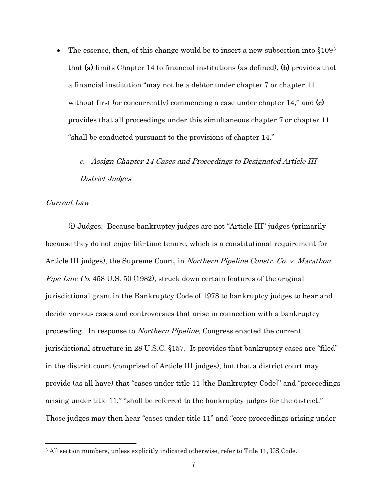The essence, then, of this change would be to insert a new subsection into  $§1093$  $§1093$ that (a) limits Chapter 14 to financial institutions (as defined), (b) provides that a financial institution "may not be a debtor under chapter 7 or chapter 11 without first (or concurrently) commencing a case under chapter 14," and  $(c)$ provides that all proceedings under this simultaneous chapter 7 or chapter 11 "shall be conducted pursuant to the provisions of chapter 14."

# c. Assign Chapter 14 Cases and Proceedings to Designated Article III District Judges

### Current Law

(i) Judges. Because bankruptcy judges are not "Article III" judges (primarily because they do not enjoy life-time tenure, which is a constitutional requirement for Article III judges), the Supreme Court, in Northern Pipeline Constr. Co. v. Marathon Pipe Line Co. 458 U.S. 50 (1982), struck down certain features of the original jurisdictional grant in the Bankruptcy Code of 1978 to bankruptcy judges to hear and decide various cases and controversies that arise in connection with a bankruptcy proceeding. In response to Northern Pipeline, Congress enacted the current jurisdictional structure in 28 U.S.C. §157. It provides that bankruptcy cases are "filed" in the district court (comprised of Article III judges), but that a district court may provide (as all have) that "cases under title 11 [the Bankruptcy Code]" and "proceedings arising under title 11," "shall be referred to the bankruptcy judges for the district." Those judges may then hear "cases under title 11" and "core proceedings arising under

<span id="page-6-0"></span> <sup>3</sup> All section numbers, unless explicitly indicated otherwise, refer to Title 11, US Code.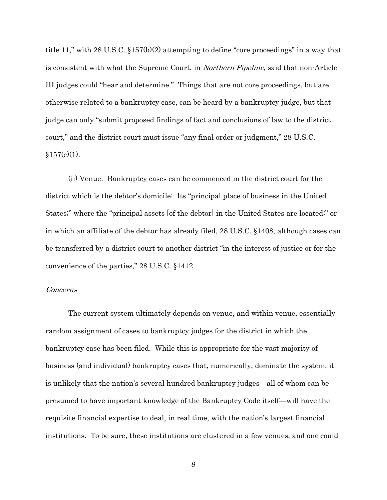title 11," with 28 U.S.C. §157(b)(2) attempting to define "core proceedings" in a way that is consistent with what the Supreme Court, in *Northern Pipeline*, said that non-Article III judges could "hear and determine." Things that are not core proceedings, but are otherwise related to a bankruptcy case, can be heard by a bankruptcy judge, but that judge can only "submit proposed findings of fact and conclusions of law to the district court," and the district court must issue "any final order or judgment," 28 U.S.C.  $§157(c)(1)$ .

(ii) Venue. Bankruptcy cases can be commenced in the district court for the district which is the debtor's domicile: Its "principal place of business in the United States;" where the "principal assets [of the debtor] in the United States are located;" or in which an affiliate of the debtor has already filed, 28 U.S.C. §1408, although cases can be transferred by a district court to another district "in the interest of justice or for the convenience of the parties," 28 U.S.C. §1412.

#### Concerns

The current system ultimately depends on venue, and within venue, essentially random assignment of cases to bankruptcy judges for the district in which the bankruptcy case has been filed. While this is appropriate for the vast majority of business (and individual) bankruptcy cases that, numerically, dominate the system, it is unlikely that the nation's several hundred bankruptcy judges—all of whom can be presumed to have important knowledge of the Bankruptcy Code itself—will have the requisite financial expertise to deal, in real time, with the nation's largest financial institutions. To be sure, these institutions are clustered in a few venues, and one could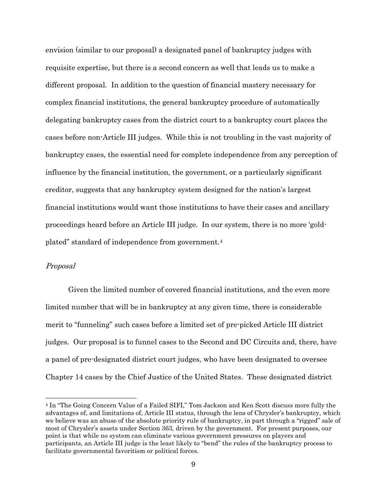envision (similar to our proposal) a designated panel of bankruptcy judges with requisite expertise, but there is a second concern as well that leads us to make a different proposal. In addition to the question of financial mastery necessary for complex financial institutions, the general bankruptcy procedure of automatically delegating bankruptcy cases from the district court to a bankruptcy court places the cases before non-Article III judges. While this is not troubling in the vast majority of bankruptcy cases, the essential need for complete independence from any perception of influence by the financial institution, the government, or a particularly significant creditor, suggests that any bankruptcy system designed for the nation's largest financial institutions would want those institutions to have their cases and ancillary proceedings heard before an Article III judge. In our system, there is no more 'goldplated" standard of independence from government.[4](#page-8-0)

### Proposal

Given the limited number of covered financial institutions, and the even more limited number that will be in bankruptcy at any given time, there is considerable merit to "funneling" such cases before a limited set of pre-picked Article III district judges. Our proposal is to funnel cases to the Second and DC Circuits and, there, have a panel of pre-designated district court judges, who have been designated to oversee Chapter 14 cases by the Chief Justice of the United States. These designated district

<span id="page-8-0"></span> <sup>4</sup> In "The Going Concern Value of a Failed SIFI," Tom Jackson and Ken Scott discuss more fully the advantages of, and limitations of, Article III status, through the lens of Chrysler's bankruptcy, which we believe was an abuse of the absolute priority rule of bankruptcy, in part through a "rigged" sale of most of Chrysler's assets under Section 363, driven by the government. For present purposes, our point is that while no system can eliminate various government pressures on players and participants, an Article III judge is the least likely to "bend" the rules of the bankruptcy process to facilitate governmental favoritism or political forces.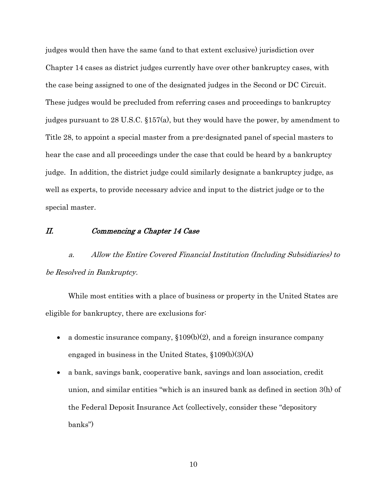judges would then have the same (and to that extent exclusive) jurisdiction over Chapter 14 cases as district judges currently have over other bankruptcy cases, with the case being assigned to one of the designated judges in the Second or DC Circuit. These judges would be precluded from referring cases and proceedings to bankruptcy judges pursuant to 28 U.S.C. §157(a), but they would have the power, by amendment to Title 28, to appoint a special master from a pre-designated panel of special masters to hear the case and all proceedings under the case that could be heard by a bankruptcy judge. In addition, the district judge could similarly designate a bankruptcy judge, as well as experts, to provide necessary advice and input to the district judge or to the special master.

### II. Commencing a Chapter 14 Case

a. Allow the Entire Covered Financial Institution (Including Subsidiaries) to be Resolved in Bankruptcy.

While most entities with a place of business or property in the United States are eligible for bankruptcy, there are exclusions for:

- a domestic insurance company,  $$109(b)(2)$ , and a foreign insurance company engaged in business in the United States, §109(b)(3)(A)
- a bank, savings bank, cooperative bank, savings and loan association, credit union, and similar entities "which is an insured bank as defined in section 3(h) of the Federal Deposit Insurance Act (collectively, consider these "depository banks")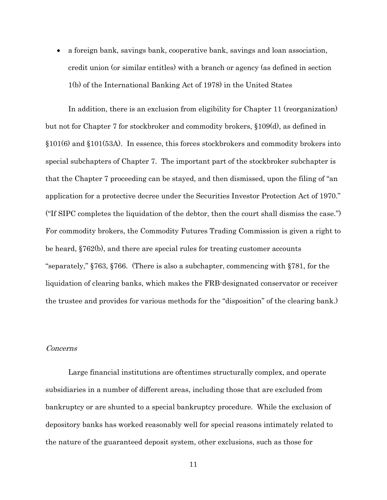• a foreign bank, savings bank, cooperative bank, savings and loan association, credit union (or similar entitles) with a branch or agency (as defined in section 1(b) of the International Banking Act of 1978) in the United States

In addition, there is an exclusion from eligibility for Chapter 11 (reorganization) but not for Chapter 7 for stockbroker and commodity brokers, §109(d), as defined in §101(6) and §101(53A). In essence, this forces stockbrokers and commodity brokers into special subchapters of Chapter 7. The important part of the stockbroker subchapter is that the Chapter 7 proceeding can be stayed, and then dismissed, upon the filing of "an application for a protective decree under the Securities Investor Protection Act of 1970." ("If SIPC completes the liquidation of the debtor, then the court shall dismiss the case.") For commodity brokers, the Commodity Futures Trading Commission is given a right to be heard, §762(b), and there are special rules for treating customer accounts "separately," §763, §766. (There is also a subchapter, commencing with §781, for the liquidation of clearing banks, which makes the FRB-designated conservator or receiver the trustee and provides for various methods for the "disposition" of the clearing bank.)

### Concerns

Large financial institutions are oftentimes structurally complex, and operate subsidiaries in a number of different areas, including those that are excluded from bankruptcy or are shunted to a special bankruptcy procedure. While the exclusion of depository banks has worked reasonably well for special reasons intimately related to the nature of the guaranteed deposit system, other exclusions, such as those for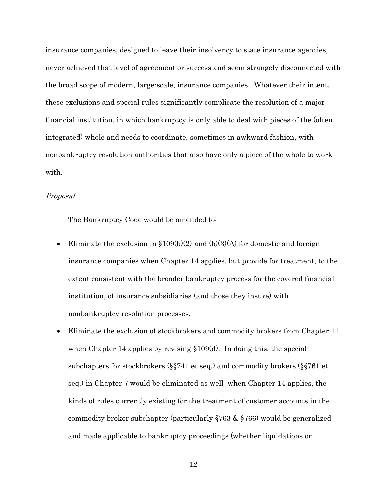insurance companies, designed to leave their insolvency to state insurance agencies, never achieved that level of agreement or success and seem strangely disconnected with the broad scope of modern, large-scale, insurance companies. Whatever their intent, these exclusions and special rules significantly complicate the resolution of a major financial institution, in which bankruptcy is only able to deal with pieces of the (often integrated) whole and needs to coordinate, sometimes in awkward fashion, with nonbankruptcy resolution authorities that also have only a piece of the whole to work with.

### Proposal

The Bankruptcy Code would be amended to:

- Eliminate the exclusion in  $$109(b)(2)$  and  $(b)(3)(A)$  for domestic and foreign insurance companies when Chapter 14 applies, but provide for treatment, to the extent consistent with the broader bankruptcy process for the covered financial institution, of insurance subsidiaries (and those they insure) with nonbankruptcy resolution processes.
- Eliminate the exclusion of stockbrokers and commodity brokers from Chapter 11 when Chapter 14 applies by revising §109(d). In doing this, the special subchapters for stockbrokers (§§741 et seq.) and commodity brokers (§§761 et seq.) in Chapter 7 would be eliminated as well when Chapter 14 applies, the kinds of rules currently existing for the treatment of customer accounts in the commodity broker subchapter (particularly §763 & §766) would be generalized and made applicable to bankruptcy proceedings (whether liquidations or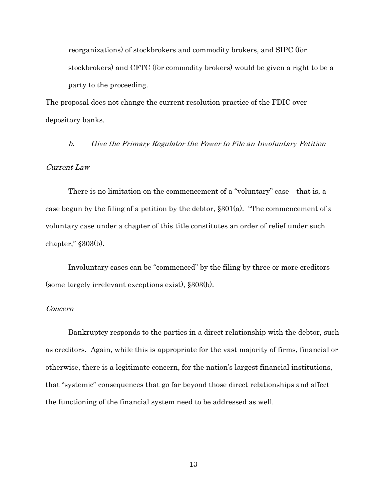reorganizations) of stockbrokers and commodity brokers, and SIPC (for stockbrokers) and CFTC (for commodity brokers) would be given a right to be a party to the proceeding.

The proposal does not change the current resolution practice of the FDIC over depository banks.

b. Give the Primary Regulator the Power to File an Involuntary Petition

### Current Law

There is no limitation on the commencement of a "voluntary" case—that is, a case begun by the filing of a petition by the debtor,  $\S 301(a)$ . "The commencement of a voluntary case under a chapter of this title constitutes an order of relief under such chapter," §303(b).

Involuntary cases can be "commenced" by the filing by three or more creditors (some largely irrelevant exceptions exist), §303(b).

### Concern

Bankruptcy responds to the parties in a direct relationship with the debtor, such as creditors. Again, while this is appropriate for the vast majority of firms, financial or otherwise, there is a legitimate concern, for the nation's largest financial institutions, that "systemic" consequences that go far beyond those direct relationships and affect the functioning of the financial system need to be addressed as well.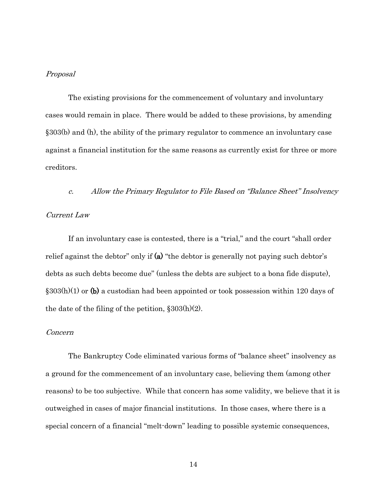#### Proposal

The existing provisions for the commencement of voluntary and involuntary cases would remain in place. There would be added to these provisions, by amending §303(b) and (h), the ability of the primary regulator to commence an involuntary case against a financial institution for the same reasons as currently exist for three or more creditors.

c. Allow the Primary Regulator to File Based on "Balance Sheet" Insolvency

### Current Law

If an involuntary case is contested, there is a "trial," and the court "shall order relief against the debtor" only if  $(a)$  "the debtor is generally not paying such debtor's debts as such debts become due" (unless the debts are subject to a bona fide dispute),  $\S 303(h)(1)$  or (b) a custodian had been appointed or took possession within 120 days of the date of the filing of the petition,  $\S 303(h)(2)$ .

#### Concern

The Bankruptcy Code eliminated various forms of "balance sheet" insolvency as a ground for the commencement of an involuntary case, believing them (among other reasons) to be too subjective. While that concern has some validity, we believe that it is outweighed in cases of major financial institutions. In those cases, where there is a special concern of a financial "melt-down" leading to possible systemic consequences,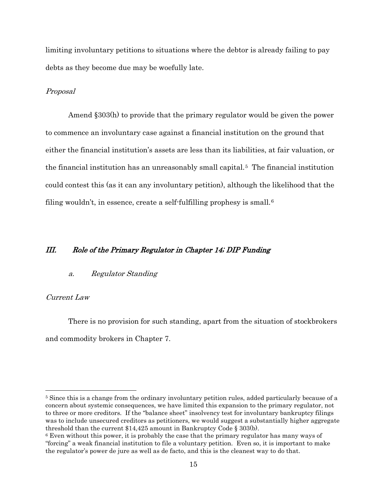limiting involuntary petitions to situations where the debtor is already failing to pay debts as they become due may be woefully late.

#### Proposal

Amend §303(h) to provide that the primary regulator would be given the power to commence an involuntary case against a financial institution on the ground that either the financial institution's assets are less than its liabilities, at fair valuation, or the financial institution has an unreasonably small capital.[5](#page-14-0) The financial institution could contest this (as it can any involuntary petition), although the likelihood that the filing wouldn't, in essence, create a self-fulfilling prophesy is small.<sup>[6](#page-14-1)</sup>

# III. Role of the Primary Regulator in Chapter 14; DIP Funding

#### a. Regulator Standing

### Current Law

There is no provision for such standing, apart from the situation of stockbrokers and commodity brokers in Chapter 7.

<span id="page-14-0"></span> <sup>5</sup> Since this is a change from the ordinary involuntary petition rules, added particularly because of a concern about systemic consequences, we have limited this expansion to the primary regulator, not to three or more creditors. If the "balance sheet" insolvency test for involuntary bankruptcy filings was to include unsecured creditors as petitioners, we would suggest a substantially higher aggregate threshold than the current \$14,425 amount in Bankruptcy Code § 303(b).

<span id="page-14-1"></span><sup>6</sup> Even without this power, it is probably the case that the primary regulator has many ways of "forcing" a weak financial institution to file a voluntary petition. Even so, it is important to make the regulator's power de jure as well as de facto, and this is the cleanest way to do that.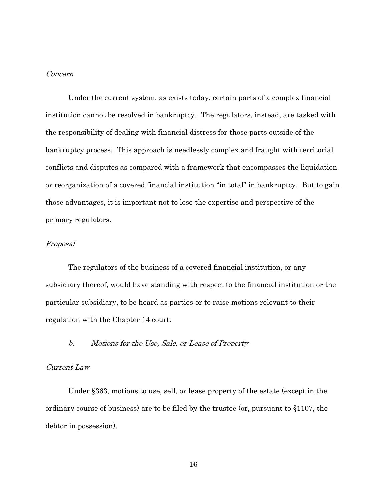### Concern

Under the current system, as exists today, certain parts of a complex financial institution cannot be resolved in bankruptcy. The regulators, instead, are tasked with the responsibility of dealing with financial distress for those parts outside of the bankruptcy process. This approach is needlessly complex and fraught with territorial conflicts and disputes as compared with a framework that encompasses the liquidation or reorganization of a covered financial institution "in total" in bankruptcy. But to gain those advantages, it is important not to lose the expertise and perspective of the primary regulators.

# Proposal

The regulators of the business of a covered financial institution, or any subsidiary thereof, would have standing with respect to the financial institution or the particular subsidiary, to be heard as parties or to raise motions relevant to their regulation with the Chapter 14 court.

### b. Motions for the Use, Sale, or Lease of Property

### Current Law

Under §363, motions to use, sell, or lease property of the estate (except in the ordinary course of business) are to be filed by the trustee (or, pursuant to §1107, the debtor in possession).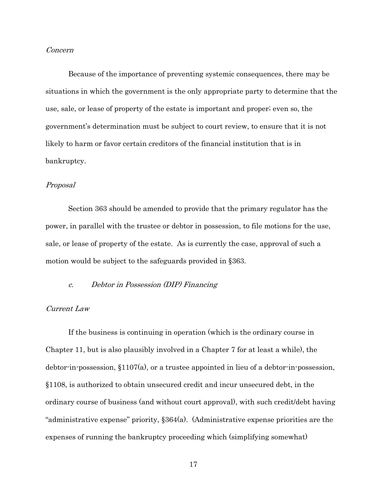### Concern

Because of the importance of preventing systemic consequences, there may be situations in which the government is the only appropriate party to determine that the use, sale, or lease of property of the estate is important and proper; even so, the government's determination must be subject to court review, to ensure that it is not likely to harm or favor certain creditors of the financial institution that is in bankruptcy.

#### Proposal

Section 363 should be amended to provide that the primary regulator has the power, in parallel with the trustee or debtor in possession, to file motions for the use, sale, or lease of property of the estate. As is currently the case, approval of such a motion would be subject to the safeguards provided in §363.

### c. Debtor in Possession (DIP) Financing

### Current Law

If the business is continuing in operation (which is the ordinary course in Chapter 11, but is also plausibly involved in a Chapter 7 for at least a while), the debtor-in-possession, §1107(a), or a trustee appointed in lieu of a debtor-in-possession, §1108, is authorized to obtain unsecured credit and incur unsecured debt, in the ordinary course of business (and without court approval), with such credit/debt having "administrative expense" priority, §364(a). (Administrative expense priorities are the expenses of running the bankruptcy proceeding which (simplifying somewhat)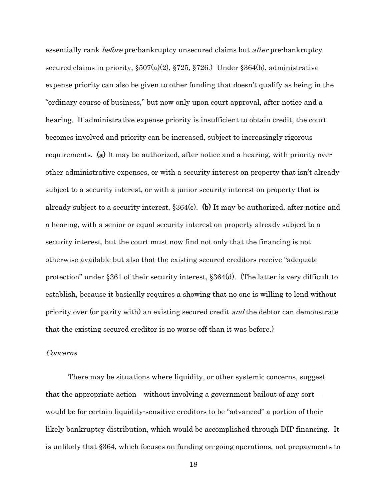essentially rank *before* pre-bankruptcy unsecured claims but *after* pre-bankruptcy secured claims in priority, §507(a)(2), §725, §726.) Under §364(b), administrative expense priority can also be given to other funding that doesn't qualify as being in the "ordinary course of business," but now only upon court approval, after notice and a hearing. If administrative expense priority is insufficient to obtain credit, the court becomes involved and priority can be increased, subject to increasingly rigorous requirements. (a) It may be authorized, after notice and a hearing, with priority over other administrative expenses, or with a security interest on property that isn't already subject to a security interest, or with a junior security interest on property that is already subject to a security interest, §364(c). (b) It may be authorized, after notice and a hearing, with a senior or equal security interest on property already subject to a security interest, but the court must now find not only that the financing is not otherwise available but also that the existing secured creditors receive "adequate protection" under §361 of their security interest, §364(d). (The latter is very difficult to establish, because it basically requires a showing that no one is willing to lend without priority over (or parity with) an existing secured credit *and* the debtor can demonstrate that the existing secured creditor is no worse off than it was before.)

#### Concerns

There may be situations where liquidity, or other systemic concerns, suggest that the appropriate action—without involving a government bailout of any sort would be for certain liquidity-sensitive creditors to be "advanced" a portion of their likely bankruptcy distribution, which would be accomplished through DIP financing. It is unlikely that §364, which focuses on funding on-going operations, not prepayments to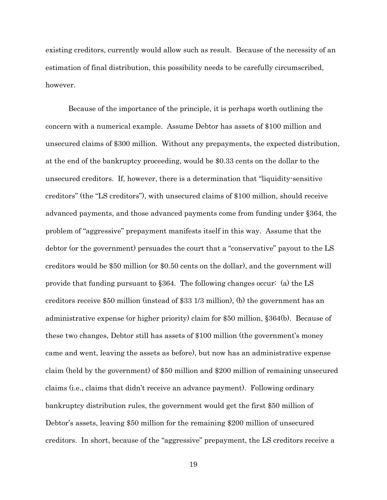existing creditors, currently would allow such as result. Because of the necessity of an estimation of final distribution, this possibility needs to be carefully circumscribed, however.

Because of the importance of the principle, it is perhaps worth outlining the concern with a numerical example. Assume Debtor has assets of \$100 million and unsecured claims of \$300 million. Without any prepayments, the expected distribution, at the end of the bankruptcy proceeding, would be \$0.33 cents on the dollar to the unsecured creditors. If, however, there is a determination that "liquidity-sensitive creditors" (the "LS creditors"), with unsecured claims of \$100 million, should receive advanced payments, and those advanced payments come from funding under §364, the problem of "aggressive" prepayment manifests itself in this way. Assume that the debtor (or the government) persuades the court that a "conservative" payout to the LS creditors would be \$50 million (or \$0.50 cents on the dollar), and the government will provide that funding pursuant to §364. The following changes occur: (a) the LS creditors receive \$50 million (instead of \$33 1/3 million), (b) the government has an administrative expense (or higher priority) claim for \$50 million, §364(b). Because of these two changes, Debtor still has assets of \$100 million (the government's money came and went, leaving the assets as before), but now has an administrative expense claim (held by the government) of \$50 million and \$200 million of remaining unsecured claims (i.e., claims that didn't receive an advance payment). Following ordinary bankruptcy distribution rules, the government would get the first \$50 million of Debtor's assets, leaving \$50 million for the remaining \$200 million of unsecured creditors. In short, because of the "aggressive" prepayment, the LS creditors receive a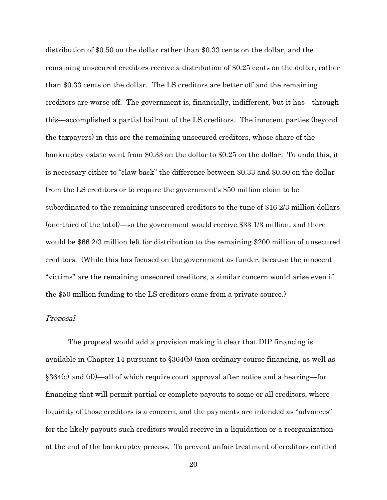distribution of \$0.50 on the dollar rather than \$0.33 cents on the dollar, and the remaining unsecured creditors receive a distribution of \$0.25 cents on the dollar, rather than \$0.33 cents on the dollar. The LS creditors are better off and the remaining creditors are worse off. The government is, financially, indifferent, but it has—through this—accomplished a partial bail-out of the LS creditors. The innocent parties (beyond the taxpayers) in this are the remaining unsecured creditors, whose share of the bankruptcy estate went from \$0.33 on the dollar to \$0.25 on the dollar. To undo this, it is necessary either to "claw back" the difference between \$0.33 and \$0.50 on the dollar from the LS creditors or to require the government's \$50 million claim to be subordinated to the remaining unsecured creditors to the tune of \$16 2/3 million dollars (one-third of the total)—so the government would receive \$33 1/3 million, and there would be \$66 2/3 million left for distribution to the remaining \$200 million of unsecured creditors. (While this has focused on the government as funder, because the innocent "victims" are the remaining unsecured creditors, a similar concern would arise even if the \$50 million funding to the LS creditors came from a private source.)

#### Proposal

The proposal would add a provision making it clear that DIP financing is available in Chapter 14 pursuant to §364(b) (non-ordinary-course financing, as well as §364(c) and (d))—all of which require court approval after notice and a hearing—for financing that will permit partial or complete payouts to some or all creditors, where liquidity of those creditors is a concern, and the payments are intended as "advances" for the likely payouts such creditors would receive in a liquidation or a reorganization at the end of the bankruptcy process. To prevent unfair treatment of creditors entitled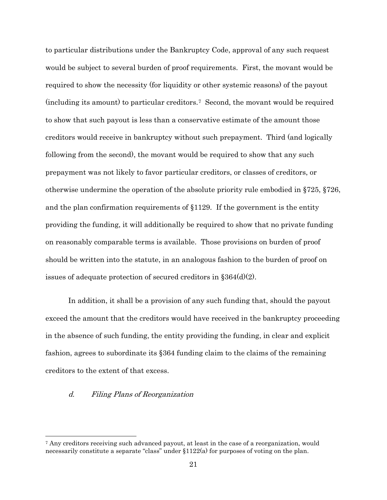to particular distributions under the Bankruptcy Code, approval of any such request would be subject to several burden of proof requirements. First, the movant would be required to show the necessity (for liquidity or other systemic reasons) of the payout (including its amount) to particular creditors.[7](#page-20-0) Second, the movant would be required to show that such payout is less than a conservative estimate of the amount those creditors would receive in bankruptcy without such prepayment. Third (and logically following from the second), the movant would be required to show that any such prepayment was not likely to favor particular creditors, or classes of creditors, or otherwise undermine the operation of the absolute priority rule embodied in §725, §726, and the plan confirmation requirements of §1129. If the government is the entity providing the funding, it will additionally be required to show that no private funding on reasonably comparable terms is available. Those provisions on burden of proof should be written into the statute, in an analogous fashion to the burden of proof on issues of adequate protection of secured creditors in §364(d)(2).

In addition, it shall be a provision of any such funding that, should the payout exceed the amount that the creditors would have received in the bankruptcy proceeding in the absence of such funding, the entity providing the funding, in clear and explicit fashion, agrees to subordinate its §364 funding claim to the claims of the remaining creditors to the extent of that excess.

### d. Filing Plans of Reorganization

<span id="page-20-0"></span> <sup>7</sup> Any creditors receiving such advanced payout, at least in the case of a reorganization, would necessarily constitute a separate "class" under §1122(a) for purposes of voting on the plan.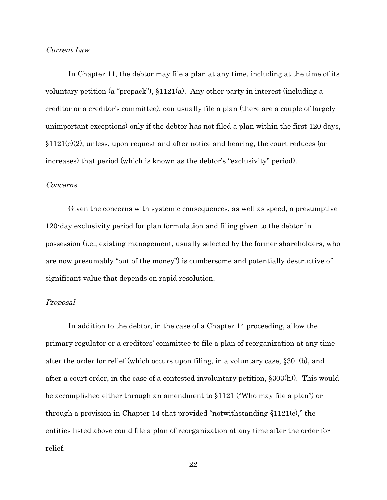### Current Law

In Chapter 11, the debtor may file a plan at any time, including at the time of its voluntary petition (a "prepack"), §1121(a). Any other party in interest (including a creditor or a creditor's committee), can usually file a plan (there are a couple of largely unimportant exceptions) only if the debtor has not filed a plan within the first 120 days,  $\S1121(c)(2)$ , unless, upon request and after notice and hearing, the court reduces (or increases) that period (which is known as the debtor's "exclusivity" period).

#### Concerns

Given the concerns with systemic consequences, as well as speed, a presumptive 120-day exclusivity period for plan formulation and filing given to the debtor in possession (i.e., existing management, usually selected by the former shareholders, who are now presumably "out of the money") is cumbersome and potentially destructive of significant value that depends on rapid resolution.

### Proposal

In addition to the debtor, in the case of a Chapter 14 proceeding, allow the primary regulator or a creditors' committee to file a plan of reorganization at any time after the order for relief (which occurs upon filing, in a voluntary case, §301(b), and after a court order, in the case of a contested involuntary petition, §303(h)). This would be accomplished either through an amendment to §1121 ("Who may file a plan") or through a provision in Chapter 14 that provided "notwithstanding  $$1121(c)$ ," the entities listed above could file a plan of reorganization at any time after the order for relief.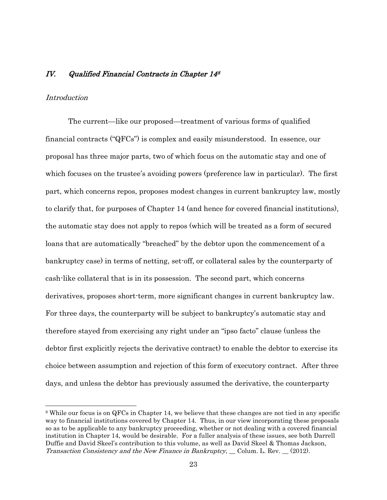### IV. Qualified Financial Contracts in Chapter 148

### **Introduction**

The current—like our proposed—treatment of various forms of qualified financial contracts ("QFCs") is complex and easily misunderstood. In essence, our proposal has three major parts, two of which focus on the automatic stay and one of which focuses on the trustee's avoiding powers (preference law in particular). The first part, which concerns repos, proposes modest changes in current bankruptcy law, mostly to clarify that, for purposes of Chapter 14 (and hence for covered financial institutions), the automatic stay does not apply to repos (which will be treated as a form of secured loans that are automatically "breached" by the debtor upon the commencement of a bankruptcy case) in terms of netting, set-off, or collateral sales by the counterparty of cash-like collateral that is in its possession. The second part, which concerns derivatives, proposes short-term, more significant changes in current bankruptcy law. For three days, the counterparty will be subject to bankruptcy's automatic stay and therefore stayed from exercising any right under an "ipso facto" clause (unless the debtor first explicitly rejects the derivative contract) to enable the debtor to exercise its choice between assumption and rejection of this form of executory contract. After three days, and unless the debtor has previously assumed the derivative, the counterparty

 <sup>8</sup> While our focus is on QFCs in Chapter 14, we believe that these changes are not tied in any specific way to financial institutions covered by Chapter 14. Thus, in our view incorporating these proposals so as to be applicable to any bankruptcy proceeding, whether or not dealing with a covered financial institution in Chapter 14, would be desirable. For a fuller analysis of these issues, see both Darrell Duffie and David Skeel's contribution to this volume, as well as David Skeel & Thomas Jackson, Transaction Consistency and the New Finance in Bankruptcy, Colum. L. Rev. (2012).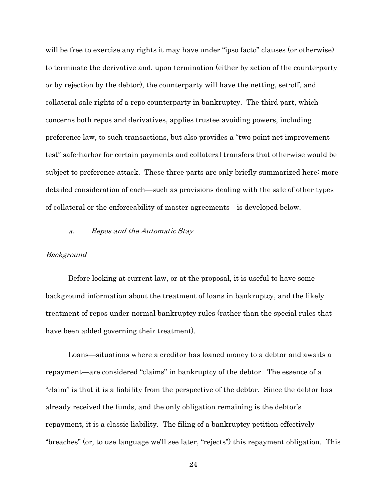will be free to exercise any rights it may have under "ipso facto" clauses (or otherwise) to terminate the derivative and, upon termination (either by action of the counterparty or by rejection by the debtor), the counterparty will have the netting, set-off, and collateral sale rights of a repo counterparty in bankruptcy. The third part, which concerns both repos and derivatives, applies trustee avoiding powers, including preference law, to such transactions, but also provides a "two point net improvement test" safe-harbor for certain payments and collateral transfers that otherwise would be subject to preference attack. These three parts are only briefly summarized here; more detailed consideration of each—such as provisions dealing with the sale of other types of collateral or the enforceability of master agreements—is developed below.

### a. Repos and the Automatic Stay

#### Background

Before looking at current law, or at the proposal, it is useful to have some background information about the treatment of loans in bankruptcy, and the likely treatment of repos under normal bankruptcy rules (rather than the special rules that have been added governing their treatment).

Loans—situations where a creditor has loaned money to a debtor and awaits a repayment—are considered "claims" in bankruptcy of the debtor. The essence of a "claim" is that it is a liability from the perspective of the debtor. Since the debtor has already received the funds, and the only obligation remaining is the debtor's repayment, it is a classic liability. The filing of a bankruptcy petition effectively "breaches" (or, to use language we'll see later, "rejects") this repayment obligation. This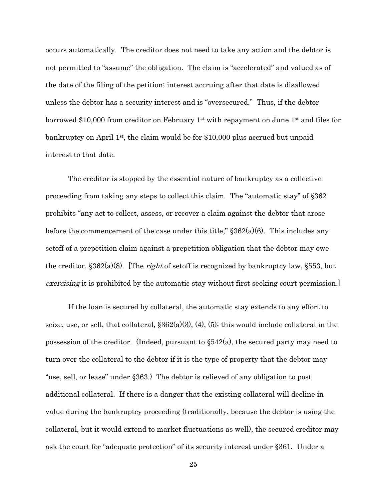occurs automatically. The creditor does not need to take any action and the debtor is not permitted to "assume" the obligation. The claim is "accelerated" and valued as of the date of the filing of the petition; interest accruing after that date is disallowed unless the debtor has a security interest and is "oversecured." Thus, if the debtor borrowed \$10,000 from creditor on February 1<sup>st</sup> with repayment on June 1<sup>st</sup> and files for bankruptcy on April  $1^{st}$ , the claim would be for \$10,000 plus accrued but unpaid interest to that date.

The creditor is stopped by the essential nature of bankruptcy as a collective proceeding from taking any steps to collect this claim. The "automatic stay" of §362 prohibits "any act to collect, assess, or recover a claim against the debtor that arose before the commencement of the case under this title," §362(a)(6). This includes any setoff of a prepetition claim against a prepetition obligation that the debtor may owe the creditor,  $\S 362(a)(8)$ . [The *right* of setoff is recognized by bankruptcy law,  $\S 553$ , but exercising it is prohibited by the automatic stay without first seeking court permission.

If the loan is secured by collateral, the automatic stay extends to any effort to seize, use, or sell, that collateral,  $\S 362(a)(3)$ ,  $(4)$ ,  $(5)$ ; this would include collateral in the possession of the creditor. (Indeed, pursuant to §542(a), the secured party may need to turn over the collateral to the debtor if it is the type of property that the debtor may "use, sell, or lease" under §363.) The debtor is relieved of any obligation to post additional collateral. If there is a danger that the existing collateral will decline in value during the bankruptcy proceeding (traditionally, because the debtor is using the collateral, but it would extend to market fluctuations as well), the secured creditor may ask the court for "adequate protection" of its security interest under §361. Under a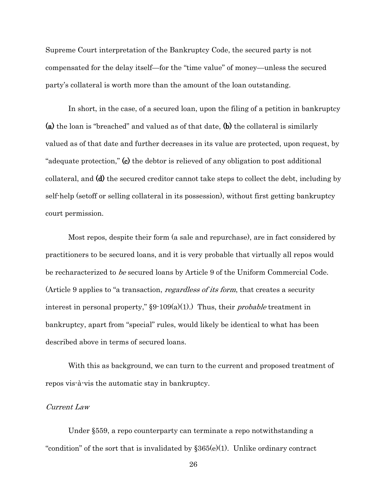Supreme Court interpretation of the Bankruptcy Code, the secured party is not compensated for the delay itself—for the "time value" of money—unless the secured party's collateral is worth more than the amount of the loan outstanding.

In short, in the case, of a secured loan, upon the filing of a petition in bankruptcy (a) the loan is "breached" and valued as of that date, (b) the collateral is similarly valued as of that date and further decreases in its value are protected, upon request, by "adequate protection," (c) the debtor is relieved of any obligation to post additional collateral, and (d) the secured creditor cannot take steps to collect the debt, including by self-help (setoff or selling collateral in its possession), without first getting bankruptcy court permission.

Most repos, despite their form (a sale and repurchase), are in fact considered by practitioners to be secured loans, and it is very probable that virtually all repos would be recharacterized to be secured loans by Article 9 of the Uniform Commercial Code. (Article 9 applies to "a transaction, regardless of its form, that creates a security interest in personal property,"  $\S 9 \cdot 109(a)(1)$ .) Thus, their *probable* treatment in bankruptcy, apart from "special" rules, would likely be identical to what has been described above in terms of secured loans.

With this as background, we can turn to the current and proposed treatment of repos vis-à-vis the automatic stay in bankruptcy.

### Current Law

Under §559, a repo counterparty can terminate a repo notwithstanding a "condition" of the sort that is invalidated by  $\S 365(e)(1)$ . Unlike ordinary contract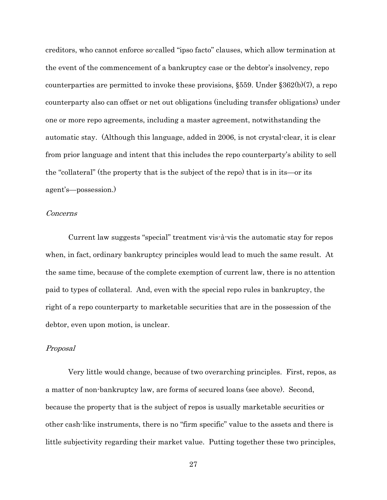creditors, who cannot enforce so-called "ipso facto" clauses, which allow termination at the event of the commencement of a bankruptcy case or the debtor's insolvency, repo counterparties are permitted to invoke these provisions, §559. Under §362(b)(7), a repo counterparty also can offset or net out obligations (including transfer obligations) under one or more repo agreements, including a master agreement, notwithstanding the automatic stay. (Although this language, added in 2006, is not crystal-clear, it is clear from prior language and intent that this includes the repo counterparty's ability to sell the "collateral" (the property that is the subject of the repo) that is in its—or its agent's—possession.)

#### Concerns

Current law suggests "special" treatment vis-à-vis the automatic stay for repos when, in fact, ordinary bankruptcy principles would lead to much the same result. At the same time, because of the complete exemption of current law, there is no attention paid to types of collateral. And, even with the special repo rules in bankruptcy, the right of a repo counterparty to marketable securities that are in the possession of the debtor, even upon motion, is unclear.

#### Proposal

Very little would change, because of two overarching principles. First, repos, as a matter of non-bankruptcy law, are forms of secured loans (see above). Second, because the property that is the subject of repos is usually marketable securities or other cash-like instruments, there is no "firm specific" value to the assets and there is little subjectivity regarding their market value. Putting together these two principles,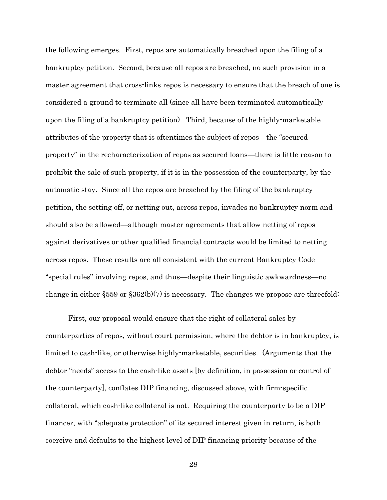the following emerges. First, repos are automatically breached upon the filing of a bankruptcy petition. Second, because all repos are breached, no such provision in a master agreement that cross-links repos is necessary to ensure that the breach of one is considered a ground to terminate all (since all have been terminated automatically upon the filing of a bankruptcy petition). Third, because of the highly-marketable attributes of the property that is oftentimes the subject of repos—the "secured property" in the recharacterization of repos as secured loans—there is little reason to prohibit the sale of such property, if it is in the possession of the counterparty, by the automatic stay. Since all the repos are breached by the filing of the bankruptcy petition, the setting off, or netting out, across repos, invades no bankruptcy norm and should also be allowed—although master agreements that allow netting of repos against derivatives or other qualified financial contracts would be limited to netting across repos. These results are all consistent with the current Bankruptcy Code "special rules" involving repos, and thus—despite their linguistic awkwardness—no change in either  $\S 559$  or  $\S 362(b)(7)$  is necessary. The changes we propose are threefold:

First, our proposal would ensure that the right of collateral sales by counterparties of repos, without court permission, where the debtor is in bankruptcy, is limited to cash-like, or otherwise highly-marketable, securities. (Arguments that the debtor "needs" access to the cash-like assets [by definition, in possession or control of the counterparty], conflates DIP financing, discussed above, with firm-specific collateral, which cash-like collateral is not. Requiring the counterparty to be a DIP financer, with "adequate protection" of its secured interest given in return, is both coercive and defaults to the highest level of DIP financing priority because of the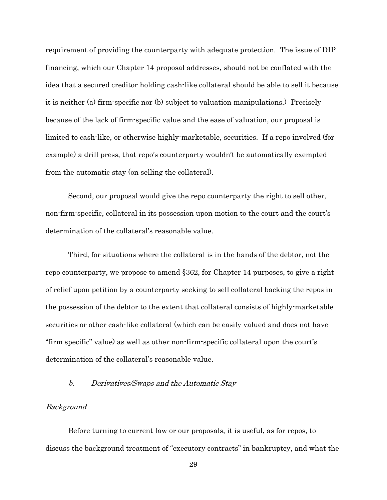requirement of providing the counterparty with adequate protection. The issue of DIP financing, which our Chapter 14 proposal addresses, should not be conflated with the idea that a secured creditor holding cash-like collateral should be able to sell it because it is neither (a) firm-specific nor (b) subject to valuation manipulations.) Precisely because of the lack of firm-specific value and the ease of valuation, our proposal is limited to cash-like, or otherwise highly-marketable, securities. If a repo involved (for example) a drill press, that repo's counterparty wouldn't be automatically exempted from the automatic stay (on selling the collateral).

Second, our proposal would give the repo counterparty the right to sell other, non-firm-specific, collateral in its possession upon motion to the court and the court's determination of the collateral's reasonable value.

Third, for situations where the collateral is in the hands of the debtor, not the repo counterparty, we propose to amend §362, for Chapter 14 purposes, to give a right of relief upon petition by a counterparty seeking to sell collateral backing the repos in the possession of the debtor to the extent that collateral consists of highly-marketable securities or other cash-like collateral (which can be easily valued and does not have "firm specific" value) as well as other non-firm-specific collateral upon the court's determination of the collateral's reasonable value.

### b. Derivatives/Swaps and the Automatic Stay

### Background

Before turning to current law or our proposals, it is useful, as for repos, to discuss the background treatment of "executory contracts" in bankruptcy, and what the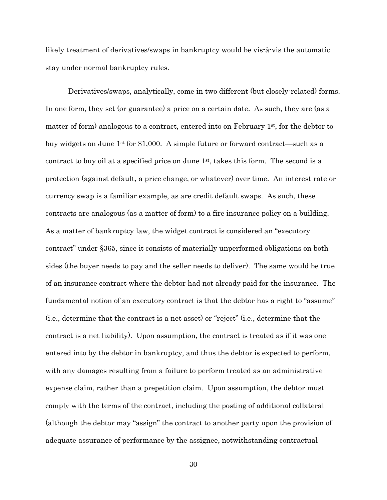likely treatment of derivatives/swaps in bankruptcy would be vis-à-vis the automatic stay under normal bankruptcy rules.

Derivatives/swaps, analytically, come in two different (but closely-related) forms. In one form, they set (or guarantee) a price on a certain date. As such, they are (as a matter of form) analogous to a contract, entered into on February  $1<sup>st</sup>$ , for the debtor to buy widgets on June 1st for \$1,000. A simple future or forward contract—such as a contract to buy oil at a specified price on June  $1<sup>st</sup>$ , takes this form. The second is a protection (against default, a price change, or whatever) over time. An interest rate or currency swap is a familiar example, as are credit default swaps. As such, these contracts are analogous (as a matter of form) to a fire insurance policy on a building. As a matter of bankruptcy law, the widget contract is considered an "executory contract" under §365, since it consists of materially unperformed obligations on both sides (the buyer needs to pay and the seller needs to deliver). The same would be true of an insurance contract where the debtor had not already paid for the insurance. The fundamental notion of an executory contract is that the debtor has a right to "assume" (i.e., determine that the contract is a net asset) or "reject" (i.e., determine that the contract is a net liability). Upon assumption, the contract is treated as if it was one entered into by the debtor in bankruptcy, and thus the debtor is expected to perform, with any damages resulting from a failure to perform treated as an administrative expense claim, rather than a prepetition claim. Upon assumption, the debtor must comply with the terms of the contract, including the posting of additional collateral (although the debtor may "assign" the contract to another party upon the provision of adequate assurance of performance by the assignee, notwithstanding contractual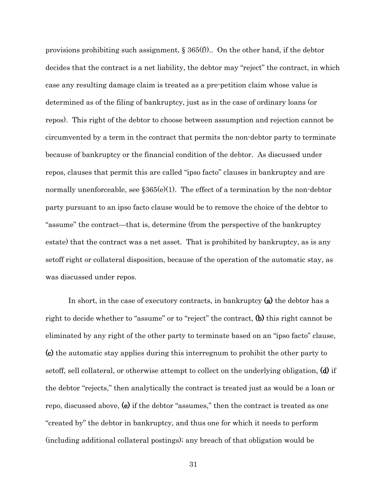provisions prohibiting such assignment,  $\S 365(f)$ . On the other hand, if the debtor decides that the contract is a net liability, the debtor may "reject" the contract, in which case any resulting damage claim is treated as a pre-petition claim whose value is determined as of the filing of bankruptcy, just as in the case of ordinary loans (or repos). This right of the debtor to choose between assumption and rejection cannot be circumvented by a term in the contract that permits the non-debtor party to terminate because of bankruptcy or the financial condition of the debtor. As discussed under repos, clauses that permit this are called "ipso facto" clauses in bankruptcy and are normally unenforceable, see  $$365(e)(1)$ . The effect of a termination by the non-debtor party pursuant to an ipso facto clause would be to remove the choice of the debtor to "assume" the contract—that is, determine (from the perspective of the bankruptcy estate) that the contract was a net asset. That is prohibited by bankruptcy, as is any setoff right or collateral disposition, because of the operation of the automatic stay, as was discussed under repos.

In short, in the case of executory contracts, in bankruptcy (a) the debtor has a right to decide whether to "assume" or to "reject" the contract, (b) this right cannot be eliminated by any right of the other party to terminate based on an "ipso facto" clause, (c) the automatic stay applies during this interregnum to prohibit the other party to setoff, sell collateral, or otherwise attempt to collect on the underlying obligation, (d) if the debtor "rejects," then analytically the contract is treated just as would be a loan or repo, discussed above, (e) if the debtor "assumes," then the contract is treated as one "created by" the debtor in bankruptcy, and thus one for which it needs to perform (including additional collateral postings); any breach of that obligation would be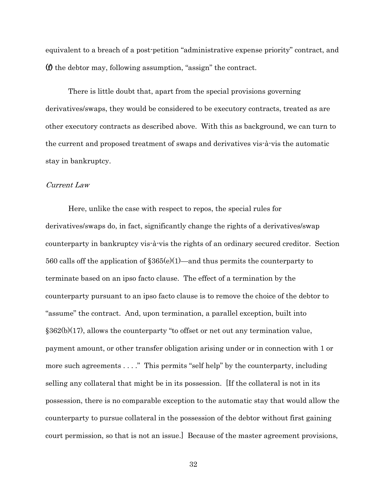equivalent to a breach of a post-petition "administrative expense priority" contract, and (f) the debtor may, following assumption, "assign" the contract.

There is little doubt that, apart from the special provisions governing derivatives/swaps, they would be considered to be executory contracts, treated as are other executory contracts as described above. With this as background, we can turn to the current and proposed treatment of swaps and derivatives vis-à-vis the automatic stay in bankruptcy.

### Current Law

Here, unlike the case with respect to repos, the special rules for derivatives/swaps do, in fact, significantly change the rights of a derivatives/swap counterparty in bankruptcy vis-à-vis the rights of an ordinary secured creditor. Section 560 calls off the application of  $\S 365(e)(1)$ —and thus permits the counterparty to terminate based on an ipso facto clause. The effect of a termination by the counterparty pursuant to an ipso facto clause is to remove the choice of the debtor to "assume" the contract. And, upon termination, a parallel exception, built into §362(b)(17), allows the counterparty "to offset or net out any termination value, payment amount, or other transfer obligation arising under or in connection with 1 or more such agreements . . . ." This permits "self help" by the counterparty, including selling any collateral that might be in its possession. [If the collateral is not in its possession, there is no comparable exception to the automatic stay that would allow the counterparty to pursue collateral in the possession of the debtor without first gaining court permission, so that is not an issue.] Because of the master agreement provisions,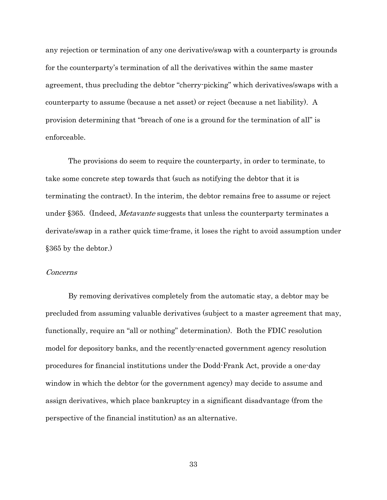any rejection or termination of any one derivative/swap with a counterparty is grounds for the counterparty's termination of all the derivatives within the same master agreement, thus precluding the debtor "cherry-picking" which derivatives/swaps with a counterparty to assume (because a net asset) or reject (because a net liability). A provision determining that "breach of one is a ground for the termination of all" is enforceable.

The provisions do seem to require the counterparty, in order to terminate, to take some concrete step towards that (such as notifying the debtor that it is terminating the contract). In the interim, the debtor remains free to assume or reject under §365. (Indeed, *Metavante* suggests that unless the counterparty terminates a derivate/swap in a rather quick time-frame, it loses the right to avoid assumption under §365 by the debtor.)

### Concerns

By removing derivatives completely from the automatic stay, a debtor may be precluded from assuming valuable derivatives (subject to a master agreement that may, functionally, require an "all or nothing" determination). Both the FDIC resolution model for depository banks, and the recently-enacted government agency resolution procedures for financial institutions under the Dodd-Frank Act, provide a one-day window in which the debtor (or the government agency) may decide to assume and assign derivatives, which place bankruptcy in a significant disadvantage (from the perspective of the financial institution) as an alternative.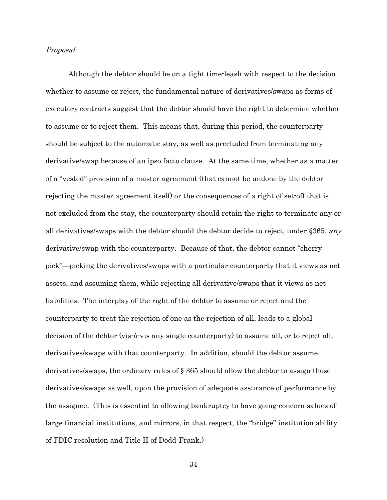#### Proposal

Although the debtor should be on a tight time-leash with respect to the decision whether to assume or reject, the fundamental nature of derivatives/swaps as forms of executory contracts suggest that the debtor should have the right to determine whether to assume or to reject them. This means that, during this period, the counterparty should be subject to the automatic stay, as well as precluded from terminating any derivative/swap because of an ipso facto clause. At the same time, whether as a matter of a "vested" provision of a master agreement (that cannot be undone by the debtor rejecting the master agreement itself) or the consequences of a right of set-off that is not excluded from the stay, the counterparty should retain the right to terminate any or all derivatives/swaps with the debtor should the debtor decide to reject, under §365, any derivative/swap with the counterparty. Because of that, the debtor cannot "cherry pick"—picking the derivatives/swaps with a particular counterparty that it views as net assets, and assuming them, while rejecting all derivative/swaps that it views as net liabilities. The interplay of the right of the debtor to assume or reject and the counterparty to treat the rejection of one as the rejection of all, leads to a global decision of the debtor (vis-à-vis any single counterparty) to assume all, or to reject all, derivatives/swaps with that counterparty. In addition, should the debtor assume derivatives/swaps, the ordinary rules of § 365 should allow the debtor to assign those derivatives/swaps as well, upon the provision of adequate assurance of performance by the assignee. (This is essential to allowing bankruptcy to have going-concern salues of large financial institutions, and mirrors, in that respect, the "bridge" institution ability of FDIC resolution and Title II of Dodd-Frank.)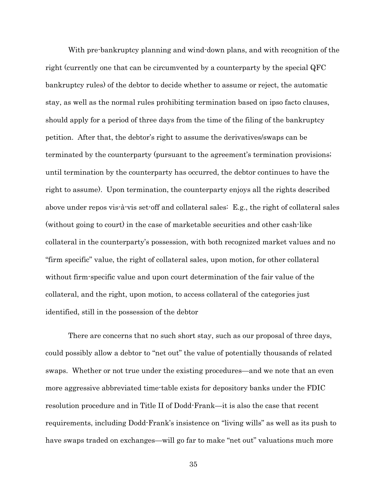With pre-bankruptcy planning and wind-down plans, and with recognition of the right (currently one that can be circumvented by a counterparty by the special QFC bankruptcy rules) of the debtor to decide whether to assume or reject, the automatic stay, as well as the normal rules prohibiting termination based on ipso facto clauses, should apply for a period of three days from the time of the filing of the bankruptcy petition. After that, the debtor's right to assume the derivatives/swaps can be terminated by the counterparty (pursuant to the agreement's termination provisions; until termination by the counterparty has occurred, the debtor continues to have the right to assume). Upon termination, the counterparty enjoys all the rights described above under repos vis-à-vis set-off and collateral sales: E.g., the right of collateral sales (without going to court) in the case of marketable securities and other cash-like collateral in the counterparty's possession, with both recognized market values and no "firm specific" value, the right of collateral sales, upon motion, for other collateral without firm-specific value and upon court determination of the fair value of the collateral, and the right, upon motion, to access collateral of the categories just identified, still in the possession of the debtor

There are concerns that no such short stay, such as our proposal of three days, could possibly allow a debtor to "net out" the value of potentially thousands of related swaps. Whether or not true under the existing procedures—and we note that an even more aggressive abbreviated time-table exists for depository banks under the FDIC resolution procedure and in Title II of Dodd-Frank—it is also the case that recent requirements, including Dodd-Frank's insistence on "living wills" as well as its push to have swaps traded on exchanges—will go far to make "net out" valuations much more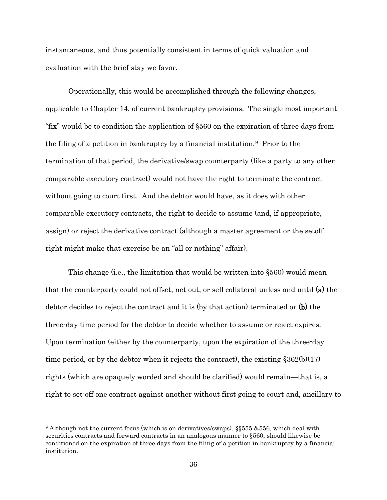instantaneous, and thus potentially consistent in terms of quick valuation and evaluation with the brief stay we favor.

Operationally, this would be accomplished through the following changes, applicable to Chapter 14, of current bankruptcy provisions. The single most important "fix" would be to condition the application of §560 on the expiration of three days from the filing of a petition in bankruptcy by a financial institution.[9](#page-35-0) Prior to the termination of that period, the derivative/swap counterparty (like a party to any other comparable executory contract) would not have the right to terminate the contract without going to court first. And the debtor would have, as it does with other comparable executory contracts, the right to decide to assume (and, if appropriate, assign) or reject the derivative contract (although a master agreement or the setoff right might make that exercise be an "all or nothing" affair).

This change (i.e., the limitation that would be written into §560) would mean that the counterparty could not offset, net out, or sell collateral unless and until (a) the debtor decides to reject the contract and it is (by that action) terminated or  $(b)$  the three-day time period for the debtor to decide whether to assume or reject expires. Upon termination (either by the counterparty, upon the expiration of the three-day time period, or by the debtor when it rejects the contract), the existing  $\S 362(b)(17)$ rights (which are opaquely worded and should be clarified) would remain—that is, a right to set-off one contract against another without first going to court and, ancillary to

<span id="page-35-0"></span> <sup>9</sup> Although not the current focus (which is on derivatives/swaps), §§555 &556, which deal with securities contracts and forward contracts in an analogous manner to §560, should likewise be conditioned on the expiration of three days from the filing of a petition in bankruptcy by a financial institution.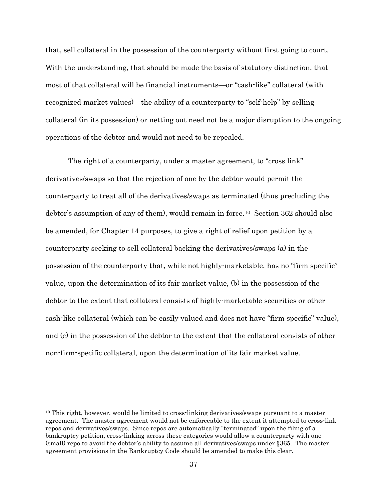that, sell collateral in the possession of the counterparty without first going to court. With the understanding, that should be made the basis of statutory distinction, that most of that collateral will be financial instruments—or "cash-like" collateral (with recognized market values)—the ability of a counterparty to "self-help" by selling collateral (in its possession) or netting out need not be a major disruption to the ongoing operations of the debtor and would not need to be repealed.

The right of a counterparty, under a master agreement, to "cross link" derivatives/swaps so that the rejection of one by the debtor would permit the counterparty to treat all of the derivatives/swaps as terminated (thus precluding the debtor's assumption of any of them), would remain in force[.10](#page-36-0) Section 362 should also be amended, for Chapter 14 purposes, to give a right of relief upon petition by a counterparty seeking to sell collateral backing the derivatives/swaps (a) in the possession of the counterparty that, while not highly-marketable, has no "firm specific" value, upon the determination of its fair market value, (b) in the possession of the debtor to the extent that collateral consists of highly-marketable securities or other cash-like collateral (which can be easily valued and does not have "firm specific" value), and (c) in the possession of the debtor to the extent that the collateral consists of other non-firm-specific collateral, upon the determination of its fair market value.

<span id="page-36-0"></span> <sup>10</sup> This right, however, would be limited to cross-linking derivatives/swaps pursuant to a master agreement. The master agreement would not be enforceable to the extent it attempted to cross-link repos and derivatives/swaps. Since repos are automatically "terminated" upon the filing of a bankruptcy petition, cross-linking across these categories would allow a counterparty with one (small) repo to avoid the debtor's ability to assume all derivatives/swaps under §365. The master agreement provisions in the Bankruptcy Code should be amended to make this clear.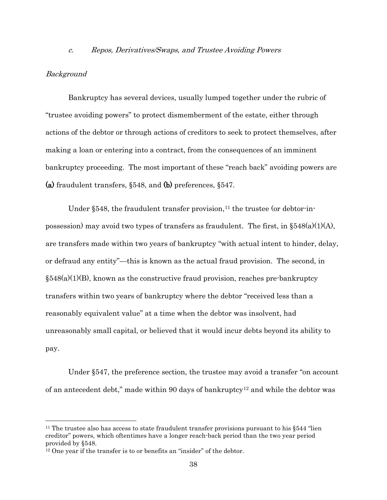#### c. Repos, Derivatives/Swaps, and Trustee Avoiding Powers

### Background

Bankruptcy has several devices, usually lumped together under the rubric of "trustee avoiding powers" to protect dismemberment of the estate, either through actions of the debtor or through actions of creditors to seek to protect themselves, after making a loan or entering into a contract, from the consequences of an imminent bankruptcy proceeding. The most important of these "reach back" avoiding powers are (a) fraudulent transfers, §548, and (b) preferences, §547.

Under  $\S 548$ , the fraudulent transfer provision,<sup>[11](#page-37-0)</sup> the trustee (or debtor-inpossession) may avoid two types of transfers as fraudulent. The first, in  $\S 548(a)(1)(A)$ , are transfers made within two years of bankruptcy "with actual intent to hinder, delay, or defraud any entity"—this is known as the actual fraud provision. The second, in  $\S 548(a)(1)(B)$ , known as the constructive fraud provision, reaches pre-bankruptcy transfers within two years of bankruptcy where the debtor "received less than a reasonably equivalent value" at a time when the debtor was insolvent, had unreasonably small capital, or believed that it would incur debts beyond its ability to pay.

Under §547, the preference section, the trustee may avoid a transfer "on account of an antecedent debt," made within 90 days of bankruptcy [12](#page-37-1) and while the debtor was

<span id="page-37-0"></span> <sup>11</sup> The trustee also has access to state fraudulent transfer provisions pursuant to his §544 "lien creditor" powers, which oftentimes have a longer reach-back period than the two year period provided by §548.

<span id="page-37-1"></span><sup>&</sup>lt;sup>12</sup> One year if the transfer is to or benefits an "insider" of the debtor.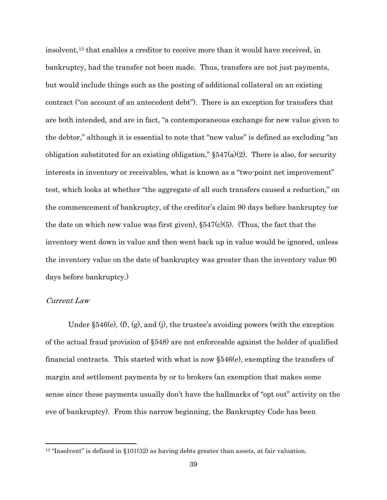insolvent[,13](#page-38-0) that enables a creditor to receive more than it would have received, in bankruptcy, had the transfer not been made. Thus, transfers are not just payments, but would include things such as the posting of additional collateral on an existing contract ("on account of an antecedent debt"). There is an exception for transfers that are both intended, and are in fact, "a contemporaneous exchange for new value given to the debtor," although it is essential to note that "new value" is defined as excluding "an obligation substituted for an existing obligation,"  $\S547(a)(2)$ . There is also, for security interests in inventory or receivables, what is known as a "two-point net improvement" test, which looks at whether "the aggregate of all such transfers caused a reduction," on the commencement of bankruptcy, of the creditor's claim 90 days before bankruptcy (or the date on which new value was first given),  $\S547(c)(5)$ . (Thus, the fact that the inventory went down in value and then went back up in value would be ignored, unless the inventory value on the date of bankruptcy was greater than the inventory value 90 days before bankruptcy.)

### Current Law

Under §546(e), (f), (g), and (j), the trustee's avoiding powers (with the exception of the actual fraud provision of §548) are not enforceable against the holder of qualified financial contracts. This started with what is now §546(e), exempting the transfers of margin and settlement payments by or to brokers (an exemption that makes some sense since these payments usually don't have the hallmarks of "opt out" activity on the eve of bankruptcy). From this narrow beginning, the Bankruptcy Code has been

<span id="page-38-0"></span><sup>&</sup>lt;sup>13</sup> "Insolvent" is defined in §101(32) as having debts greater than assets, at fair valuation.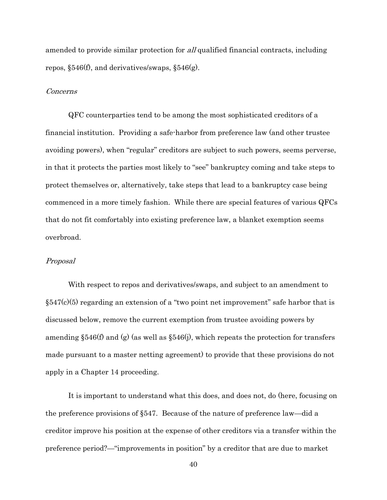amended to provide similar protection for all qualified financial contracts, including repos, §546(f), and derivatives/swaps, §546(g).

#### Concerns

QFC counterparties tend to be among the most sophisticated creditors of a financial institution. Providing a safe-harbor from preference law (and other trustee avoiding powers), when "regular" creditors are subject to such powers, seems perverse, in that it protects the parties most likely to "see" bankruptcy coming and take steps to protect themselves or, alternatively, take steps that lead to a bankruptcy case being commenced in a more timely fashion. While there are special features of various QFCs that do not fit comfortably into existing preference law, a blanket exemption seems overbroad.

#### Proposal

With respect to repos and derivatives/swaps, and subject to an amendment to  $§547(c)(5)$  regarding an extension of a "two point net improvement" safe harbor that is discussed below, remove the current exemption from trustee avoiding powers by amending  $\S 546(f)$  and (g) (as well as  $\S 546(j)$ , which repeats the protection for transfers made pursuant to a master netting agreement) to provide that these provisions do not apply in a Chapter 14 proceeding.

It is important to understand what this does, and does not, do (here, focusing on the preference provisions of §547. Because of the nature of preference law—did a creditor improve his position at the expense of other creditors via a transfer within the preference period?—"improvements in position" by a creditor that are due to market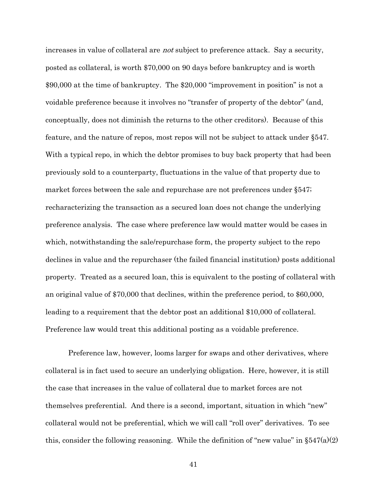increases in value of collateral are not subject to preference attack. Say a security, posted as collateral, is worth \$70,000 on 90 days before bankruptcy and is worth \$90,000 at the time of bankruptcy. The \$20,000 "improvement in position" is not a voidable preference because it involves no "transfer of property of the debtor" (and, conceptually, does not diminish the returns to the other creditors). Because of this feature, and the nature of repos, most repos will not be subject to attack under §547. With a typical repo, in which the debtor promises to buy back property that had been previously sold to a counterparty, fluctuations in the value of that property due to market forces between the sale and repurchase are not preferences under §547; recharacterizing the transaction as a secured loan does not change the underlying preference analysis. The case where preference law would matter would be cases in which, notwithstanding the sale/repurchase form, the property subject to the repo declines in value and the repurchaser (the failed financial institution) posts additional property. Treated as a secured loan, this is equivalent to the posting of collateral with an original value of \$70,000 that declines, within the preference period, to \$60,000, leading to a requirement that the debtor post an additional \$10,000 of collateral. Preference law would treat this additional posting as a voidable preference.

Preference law, however, looms larger for swaps and other derivatives, where collateral is in fact used to secure an underlying obligation. Here, however, it is still the case that increases in the value of collateral due to market forces are not themselves preferential. And there is a second, important, situation in which "new" collateral would not be preferential, which we will call "roll over" derivatives. To see this, consider the following reasoning. While the definition of "new value" in  $\S547(a)(2)$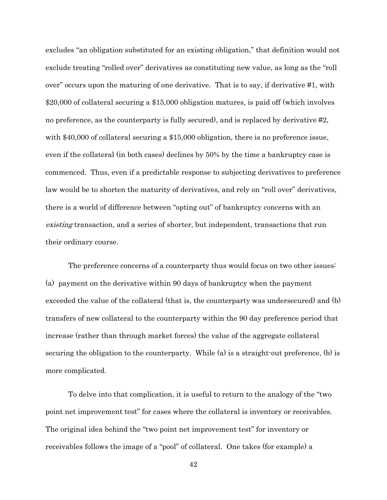excludes "an obligation substituted for an existing obligation," that definition would not exclude treating "rolled over" derivatives as constituting new value, as long as the "roll over" occurs upon the maturing of one derivative. That is to say, if derivative #1, with \$20,000 of collateral securing a \$15,000 obligation matures, is paid off (which involves no preference, as the counterparty is fully secured), and is replaced by derivative #2, with \$40,000 of collateral securing a \$15,000 obligation, there is no preference issue, even if the collateral (in both cases) declines by 50% by the time a bankruptcy case is commenced. Thus, even if a predictable response to subjecting derivatives to preference law would be to shorten the maturity of derivatives, and rely on "roll over" derivatives, there is a world of difference between "opting out" of bankruptcy concerns with an existing transaction, and a series of shorter, but independent, transactions that run their ordinary course.

The preference concerns of a counterparty thus would focus on two other issues: (a) payment on the derivative within 90 days of bankruptcy when the payment exceeded the value of the collateral (that is, the counterparty was undersecured) and (b) transfers of new collateral to the counterparty within the 90 day preference period that increase (rather than through market forces) the value of the aggregate collateral securing the obligation to the counterparty. While (a) is a straight-out preference, (b) is more complicated.

To delve into that complication, it is useful to return to the analogy of the "two point net improvement test" for cases where the collateral is inventory or receivables. The original idea behind the "two point net improvement test" for inventory or receivables follows the image of a "pool" of collateral. One takes (for example) a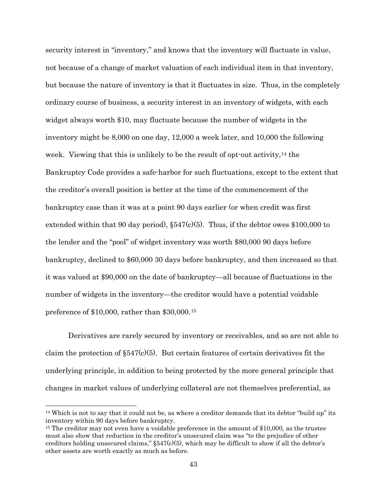security interest in "inventory," and knows that the inventory will fluctuate in value, not because of a change of market valuation of each individual item in that inventory, but because the nature of inventory is that it fluctuates in size. Thus, in the completely ordinary course of business, a security interest in an inventory of widgets, with each widget always worth \$10, may fluctuate because the number of widgets in the inventory might be 8,000 on one day, 12,000 a week later, and 10,000 the following week. Viewing that this is unlikely to be the result of opt-out activity,  $14$  the Bankruptcy Code provides a safe-harbor for such fluctuations, except to the extent that the creditor's overall position is better at the time of the commencement of the bankruptcy case than it was at a point 90 days earlier (or when credit was first extended within that 90 day period),  $\S547(c)(5)$ . Thus, if the debtor owes \$100,000 to the lender and the "pool" of widget inventory was worth \$80,000 90 days before bankruptcy, declined to \$60,000 30 days before bankruptcy, and then increased so that it was valued at \$90,000 on the date of bankruptcy—all because of fluctuations in the number of widgets in the inventory—the creditor would have a potential voidable preference of \$10,000, rather than \$30,000.[15](#page-42-1)

Derivatives are rarely secured by inventory or receivables, and so are not able to claim the protection of  $\S547(c)(5)$ . But certain features of certain derivatives fit the underlying principle, in addition to being protected by the more general principle that changes in market values of underlying collateral are not themselves preferential, as

<span id="page-42-0"></span> <sup>14</sup> Which is not to say that it could not be, as where a creditor demands that its debtor "build up" its inventory within 90 days before bankruptcy.

<span id="page-42-1"></span><sup>&</sup>lt;sup>15</sup> The creditor may not even have a voidable preference in the amount of \$10,000, as the trustee must also show that reduction in the creditor's unsecured claim was "to the prejudice of other creditors holding unsecured claims,"  $\S 547(c)(5)$ , which may be difficult to show if all the debtor's other assets are worth exactly as much as before.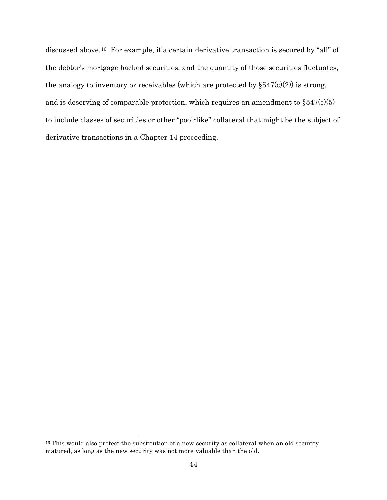discussed above.[16](#page-43-0) For example, if a certain derivative transaction is secured by "all" of the debtor's mortgage backed securities, and the quantity of those securities fluctuates, the analogy to inventory or receivables (which are protected by  $\S 547(c)(2)$ ) is strong, and is deserving of comparable protection, which requires an amendment to  $\S 547(c)(5)$ to include classes of securities or other "pool-like" collateral that might be the subject of derivative transactions in a Chapter 14 proceeding.

<span id="page-43-0"></span><sup>&</sup>lt;sup>16</sup> This would also protect the substitution of a new security as collateral when an old security matured, as long as the new security was not more valuable than the old.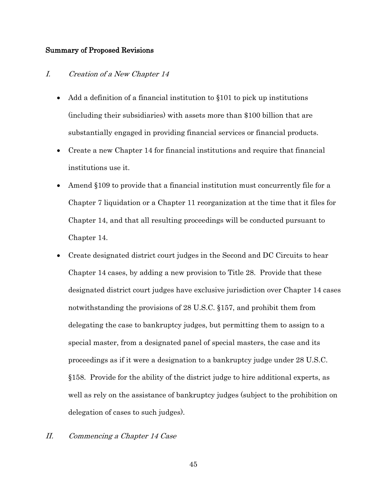### Summary of Proposed Revisions

# I. Creation of a New Chapter 14

- Add a definition of a financial institution to §101 to pick up institutions (including their subsidiaries) with assets more than \$100 billion that are substantially engaged in providing financial services or financial products.
- Create a new Chapter 14 for financial institutions and require that financial institutions use it.
- Amend §109 to provide that a financial institution must concurrently file for a Chapter 7 liquidation or a Chapter 11 reorganization at the time that it files for Chapter 14, and that all resulting proceedings will be conducted pursuant to Chapter 14.
- Create designated district court judges in the Second and DC Circuits to hear Chapter 14 cases, by adding a new provision to Title 28. Provide that these designated district court judges have exclusive jurisdiction over Chapter 14 cases notwithstanding the provisions of 28 U.S.C. §157, and prohibit them from delegating the case to bankruptcy judges, but permitting them to assign to a special master, from a designated panel of special masters, the case and its proceedings as if it were a designation to a bankruptcy judge under 28 U.S.C. §158. Provide for the ability of the district judge to hire additional experts, as well as rely on the assistance of bankruptcy judges (subject to the prohibition on delegation of cases to such judges).
- II. Commencing a Chapter 14 Case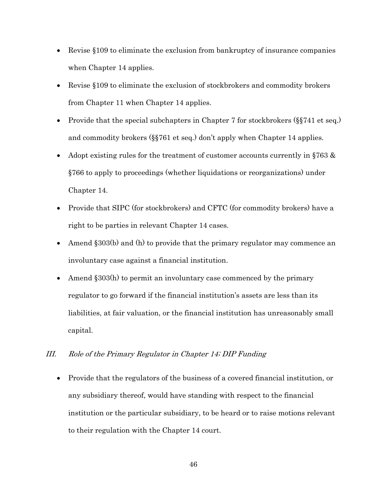- Revise §109 to eliminate the exclusion from bankruptcy of insurance companies when Chapter 14 applies.
- Revise §109 to eliminate the exclusion of stockbrokers and commodity brokers from Chapter 11 when Chapter 14 applies.
- Provide that the special subchapters in Chapter 7 for stockbrokers (§§741 et seq.) and commodity brokers (§§761 et seq.) don't apply when Chapter 14 applies.
- Adopt existing rules for the treatment of customer accounts currently in §763 & §766 to apply to proceedings (whether liquidations or reorganizations) under Chapter 14.
- Provide that SIPC (for stockbrokers) and CFTC (for commodity brokers) have a right to be parties in relevant Chapter 14 cases.
- Amend §303(b) and (h) to provide that the primary regulator may commence an involuntary case against a financial institution.
- Amend §303(h) to permit an involuntary case commenced by the primary regulator to go forward if the financial institution's assets are less than its liabilities, at fair valuation, or the financial institution has unreasonably small capital.

# III. Role of the Primary Regulator in Chapter 14; DIP Funding

• Provide that the regulators of the business of a covered financial institution, or any subsidiary thereof, would have standing with respect to the financial institution or the particular subsidiary, to be heard or to raise motions relevant to their regulation with the Chapter 14 court.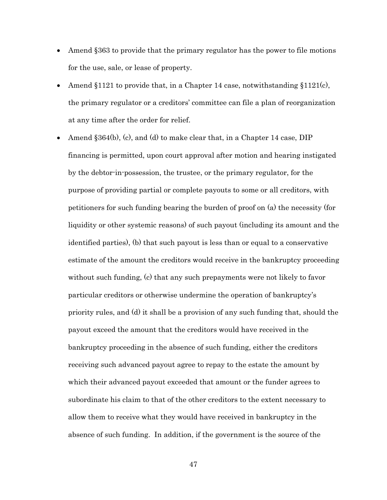- Amend §363 to provide that the primary regulator has the power to file motions for the use, sale, or lease of property.
- Amend §1121 to provide that, in a Chapter 14 case, notwithstanding §1121 $(c)$ , the primary regulator or a creditors' committee can file a plan of reorganization at any time after the order for relief.
- Amend §364(b), (c), and (d) to make clear that, in a Chapter 14 case, DIP financing is permitted, upon court approval after motion and hearing instigated by the debtor-in-possession, the trustee, or the primary regulator, for the purpose of providing partial or complete payouts to some or all creditors, with petitioners for such funding bearing the burden of proof on (a) the necessity (for liquidity or other systemic reasons) of such payout (including its amount and the identified parties), (b) that such payout is less than or equal to a conservative estimate of the amount the creditors would receive in the bankruptcy proceeding without such funding, (c) that any such prepayments were not likely to favor particular creditors or otherwise undermine the operation of bankruptcy's priority rules, and (d) it shall be a provision of any such funding that, should the payout exceed the amount that the creditors would have received in the bankruptcy proceeding in the absence of such funding, either the creditors receiving such advanced payout agree to repay to the estate the amount by which their advanced payout exceeded that amount or the funder agrees to subordinate his claim to that of the other creditors to the extent necessary to allow them to receive what they would have received in bankruptcy in the absence of such funding. In addition, if the government is the source of the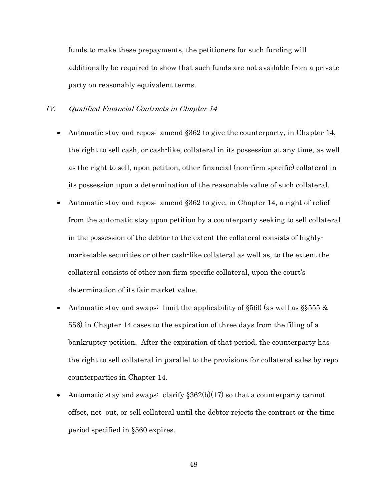funds to make these prepayments, the petitioners for such funding will additionally be required to show that such funds are not available from a private party on reasonably equivalent terms.

### IV. Qualified Financial Contracts in Chapter 14

- Automatic stay and repos: amend §362 to give the counterparty, in Chapter 14, the right to sell cash, or cash-like, collateral in its possession at any time, as well as the right to sell, upon petition, other financial (non-firm specific) collateral in its possession upon a determination of the reasonable value of such collateral.
- Automatic stay and repos: amend §362 to give, in Chapter 14, a right of relief from the automatic stay upon petition by a counterparty seeking to sell collateral in the possession of the debtor to the extent the collateral consists of highlymarketable securities or other cash-like collateral as well as, to the extent the collateral consists of other non-firm specific collateral, upon the court's determination of its fair market value.
- Automatic stay and swaps: limit the applicability of  $\S560$  (as well as  $\S555 \&$ 556) in Chapter 14 cases to the expiration of three days from the filing of a bankruptcy petition. After the expiration of that period, the counterparty has the right to sell collateral in parallel to the provisions for collateral sales by repo counterparties in Chapter 14.
- Automatic stay and swaps: clarify  $$362(b)(17)$  so that a counterparty cannot offset, net out, or sell collateral until the debtor rejects the contract or the time period specified in §560 expires.